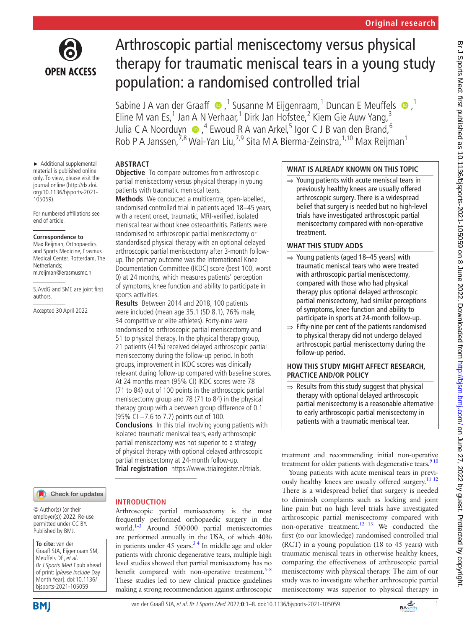

► Additional supplemental material is published online only. To view, please visit the journal online ([http://dx.doi.](http://dx.doi.org/10.1136/bjsports-2021-105059) [org/10.1136/bjsports-2021-](http://dx.doi.org/10.1136/bjsports-2021-105059)

For numbered affiliations see

**Correspondence to** Max Reijman, Orthopaedics and Sports Medicine, Erasmus Medical Center, Rotterdam, The

m.reijman@erasmusmc.nl

Accepted 30 April 2022

SJAvdG and SME are joint first

[105059](http://dx.doi.org/10.1136/bjsports-2021-105059)).

end of article.

Netherlands;

authors.

# Arthroscopic partial meniscectomy versus physical therapy for traumatic meniscal tears in a young study population: a randomised controlled trial

SabineJ A van der Graaff  $\bigcirc$ , <sup>1</sup> Susanne M Eijgenraam, <sup>1</sup> Duncan E Meuffels  $\bigcirc$ , <sup>1</sup> Eline M van Es,<sup>1</sup> Jan A N Verhaar,<sup>1</sup> Dirk Jan Hofstee,<sup>2</sup> Kiem Gie Auw Yang,<sup>3</sup> Julia C A Noorduyn  $\bigcirc$  ,<sup>4</sup> Ewoud R A van Arkel,<sup>5</sup> Igor C J B van den Brand,<sup>6</sup> Rob P A Janssen, 7,8 Wai-Yan Liu, 7,9 Sita M A Bierma-Zeinstra, <sup>1, 10</sup> Max Reijman <sup>1</sup>

## **ABSTRACT**

**Objective** To compare outcomes from arthroscopic partial meniscectomy versus physical therapy in young patients with traumatic meniscal tears.

**Methods** We conducted a multicentre, open-labelled, randomised controlled trial in patients aged 18–45 years, with a recent onset, traumatic, MRI-verified, isolated meniscal tear without knee osteoarthritis. Patients were randomised to arthroscopic partial meniscectomy or standardised physical therapy with an optional delayed arthroscopic partial meniscectomy after 3-month followup. The primary outcome was the International Knee Documentation Committee (IKDC) score (best 100, worst 0) at 24 months, which measures patients' perception of symptoms, knee function and ability to participate in sports activities.

**Results** Between 2014 and 2018, 100 patients were included (mean age 35.1 (SD 8.1), 76% male, 34 competitive or elite athletes). Forty-nine were randomised to arthroscopic partial meniscectomy and 51 to physical therapy. In the physical therapy group, 21 patients (41%) received delayed arthroscopic partial meniscectomy during the follow-up period. In both groups, improvement in IKDC scores was clinically relevant during follow-up compared with baseline scores. At 24 months mean (95% CI) IKDC scores were 78 (71 to 84) out of 100 points in the arthroscopic partial meniscectomy group and 78 (71 to 84) in the physical therapy group with a between group difference of 0.1 (95% CI −7.6 to 7.7) points out of 100.

**Conclusions** In this trial involving young patients with isolated traumatic meniscal tears, early arthroscopic partial meniscectomy was not superior to a strategy of physical therapy with optional delayed arthroscopic partial meniscectomy at 24-month follow-up. **Trial registration** <https://www.trialregister.nl/trials>.

Arthroscopic partial meniscectomy is the most frequently performed orthopaedic surgery in the world.<sup>1–3</sup> Around 500000 partial meniscectomies are performed annually in the USA, of which 40% in patients under  $45$  years.<sup>34</sup> In middle age and older patients with chronic degenerative tears, multiple high level studies showed that partial meniscectomy has no benefit compared with non-operative treatment. $5-8$ These studies led to new clinical practice guidelines making a strong recommendation against arthroscopic

**INTRODUCTION**

# Check for updates

© Author(s) (or their employer(s)) 2022. Re-use permitted under CC BY. Published by BMJ.

**To cite:** van der Graaff SJA, Eijgenraam SM, Meuffels DE, et al. Br J Sports Med Epub ahead of print: [please include Day Month Year]. doi:10.1136/ bjsports-2021-105059

# **WHAT IS ALREADY KNOWN ON THIS TOPIC**

⇒ Young patients with acute meniscal tears in previously healthy knees are usually offered arthroscopic surgery. There is a widespread belief that surgery is needed but no high-level trials have investigated arthroscopic partial meniscectomy compared with non-operative treatment.

# **WHAT THIS STUDY ADDS**

- $\Rightarrow$  Young patients (aged 18–45 years) with traumatic meniscal tears who were treated with arthroscopic partial meniscectomy, compared with those who had physical therapy plus optional delayed arthroscopic partial meniscectomy, had similar perceptions of symptoms, knee function and ability to participate in sports at 24-month follow-up.
- $\Rightarrow$  Fifty-nine per cent of the patients randomised to physical therapy did not undergo delayed arthroscopic partial meniscectomy during the follow-up period.

### **HOW THIS STUDY MIGHT AFFECT RESEARCH, PRACTICE AND/OR POLICY**

⇒ Results from this study suggest that physical therapy with optional delayed arthroscopic partial meniscectomy is a reasonable alternative to early arthroscopic partial meniscectomy in patients with a traumatic meniscal tear.

treatment and recommending initial non-operative treatment for older patients with degenerative tears.<sup>9 10</sup>

Young patients with acute meniscal tears in previously healthy knees are usually offered surgery.<sup>11 12</sup> There is a widespread belief that surgery is needed to diminish complaints such as locking and joint line pain but no high level trials have investigated arthroscopic partial meniscectomy compared with non-operative treatment.<sup>12</sup> <sup>13</sup> We conducted the first (to our knowledge) randomised controlled trial (RCT) in a young population (18 to 45 years) with traumatic meniscal tears in otherwise healthy knees, comparing the effectiveness of arthroscopic partial meniscectomy with physical therapy. The aim of our study was to investigate whether arthroscopic partial meniscectomy was superior to physical therapy in

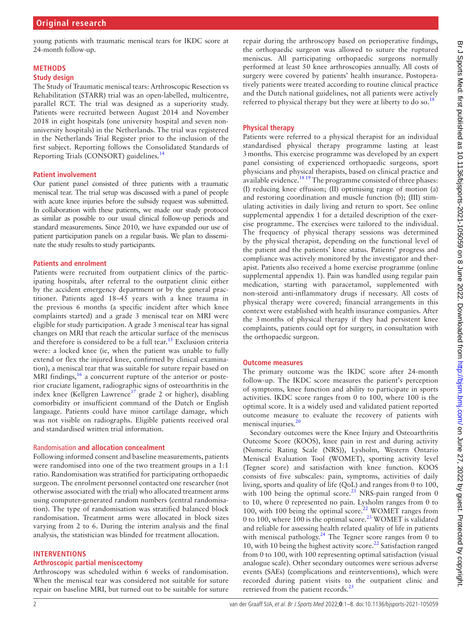young patients with traumatic meniscal tears for IKDC score at 24-month follow-up.

# **METHODS**

# **Study design**

The Study of Traumatic meniscal tears: Arthroscopic Resection vs Rehabilitation (STARR) trial was an open-labelled, multicentre, parallel RCT. The trial was designed as a superiority study. Patients were recruited between August 2014 and November 2018 in eight hospitals (one university hospital and seven nonuniversity hospitals) in the Netherlands. The trial was registered in the Netherlands Trial Register prior to the inclusion of the first subject. Reporting follows the Consolidated Standards of Reporting Trials (CONSORT) guidelines[.14](#page-6-6)

# **Patient involvement**

Our patient panel consisted of three patients with a traumatic meniscal tear. The trial setup was discussed with a panel of people with acute knee injuries before the subsidy request was submitted. In collaboration with these patients, we made our study protocol as similar as possible to our usual clinical follow-up periods and standard measurements. Since 2010, we have expanded our use of patient participation panels on a regular basis. We plan to disseminate the study results to study participants.

# **Patients and enrolment**

Patients were recruited from outpatient clinics of the participating hospitals, after referral to the outpatient clinic either by the accident emergency department or by the general practitioner. Patients aged 18–45 years with a knee trauma in the previous 6 months (a specific incident after which knee complaints started) and a grade 3 meniscal tear on MRI were eligible for study participation. A grade 3 meniscal tear has signal changes on MRI that reach the articular surface of the meniscus and therefore is considered to be a full tear.<sup>[15](#page-6-7)</sup> Exclusion criteria were: a locked knee (ie, when the patient was unable to fully extend or flex the injured knee, confirmed by clinical examination), a meniscal tear that was suitable for suture repair based on MRI findings,<sup>[16](#page-6-8)</sup> a concurrent rupture of the anterior or posterior cruciate ligament, radiographic signs of osteoarthritis in the index knee (Kellgren Lawrence<sup>17</sup> grade 2 or higher), disabling comorbidity or insufficient command of the Dutch or English language. Patients could have minor cartilage damage, which was not visible on radiographs. Eligible patients received oral and standardised written trial information.

# Randomisation **and allocation concealment**

Following informed consent and baseline measurements, patients were randomised into one of the two treatment groups in a 1:1 ratio. Randomisation was stratified for participating orthopaedic surgeon. The enrolment personnel contacted one researcher (not otherwise associated with the trial) who allocated treatment arms using computer-generated random numbers (central randomisation). The type of randomisation was stratified balanced block randomisation. Treatment arms were allocated in block sizes varying from 2 to 6. During the interim analysis and the final analysis, the statistician was blinded for treatment allocation.

# **INTERVENTIONS**

# **Arthroscopic partial meniscectomy**

Arthroscopy was scheduled within 6 weeks of randomisation. When the meniscal tear was considered not suitable for suture repair on baseline MRI, but turned out to be suitable for suture

repair during the arthroscopy based on perioperative findings, the orthopaedic surgeon was allowed to suture the ruptured meniscus. All participating orthopaedic surgeons normally performed at least 50 knee arthroscopies annually. All costs of surgery were covered by patients' health insurance. Postoperatively patients were treated according to routine clinical practice and the Dutch national guidelines, not all patients were actively referred to physical therapy but they were at liberty to do so.<sup>18</sup>

# **Physical therapy**

Patients were referred to a physical therapist for an individual standardised physical therapy programme lasting at least 3months. This exercise programme was developed by an expert panel consisting of experienced orthopaedic surgeons, sport physicians and physical therapists, based on clinical practice and available evidence.[18 19](#page-6-10) The programme consisted of three phases: (I) reducing knee effusion; (II) optimising range of motion (a) and restoring coordination and muscle function (b); (III) stimulating activities in daily living and return to sport. See [online](https://dx.doi.org/10.1136/bjsports-2021-105059) [supplemental appendix 1](https://dx.doi.org/10.1136/bjsports-2021-105059) for a detailed description of the exercise programme. The exercises were tailored to the individual. The frequency of physical therapy sessions was determined by the physical therapist, depending on the functional level of the patient and the patients' knee status. Patients' progress and compliance was actively monitored by the investigator and therapist. Patients also received a home exercise programme [\(online](https://dx.doi.org/10.1136/bjsports-2021-105059) [supplemental appendix 1\)](https://dx.doi.org/10.1136/bjsports-2021-105059). Pain was handled using regular pain medication, starting with paracetamol, supplemented with non-steroid anti-inflammatory drugs if necessary. All costs of physical therapy were covered; financial arrangements in this context were established with health insurance companies. After the 3months of physical therapy if they had persistent knee complaints, patients could opt for surgery, in consultation with the orthopaedic surgeon.

### **Outcome measures**

The primary outcome was the IKDC score after 24-month follow-up. The IKDC score measures the patient's perception of symptoms, knee function and ability to participate in sports activities. IKDC score ranges from 0 to 100, where 100 is the optimal score. It is a widely used and validated patient reported outcome measure to evaluate the recovery of patients with meniscal injuries.<sup>20</sup>

Secondary outcomes were the Knee Injury and Osteoarthritis Outcome Score (KOOS), knee pain in rest and during activity (Numeric Rating Scale (NRS)), Lysholm, Western Ontario Meniscal Evaluation Tool (WOMET), sporting activity level (Tegner score) and satisfaction with knee function. KOOS consists of five subscales: pain, symptoms, activities of daily living, sports and quality of life (QoL) and ranges from 0 to 100, with 100 being the optimal score.<sup>21</sup> NRS-pain ranged from 0 to 10, where 0 represented no pain. Lysholm ranges from 0 to 100, with 100 being the optimal score.<sup>22</sup> WOMET ranges from 0 to 100, where 100 is the optimal score.<sup>[23](#page-7-3)</sup> WOMET is validated and reliable for assessing health related quality of life in patients with meniscal pathology.<sup>24</sup> The Tegner score ranges from 0 to 10, with 10 being the highest activity score.<sup>22</sup> Satisfaction ranged from 0 to 100, with 100 representing optimal satisfaction (visual analogue scale). Other secondary outcomes were serious adverse events (SAEs) (complications and reinterventions), which were recorded during patient visits to the outpatient clinic and retrieved from the patient records.<sup>[25](#page-7-5)</sup>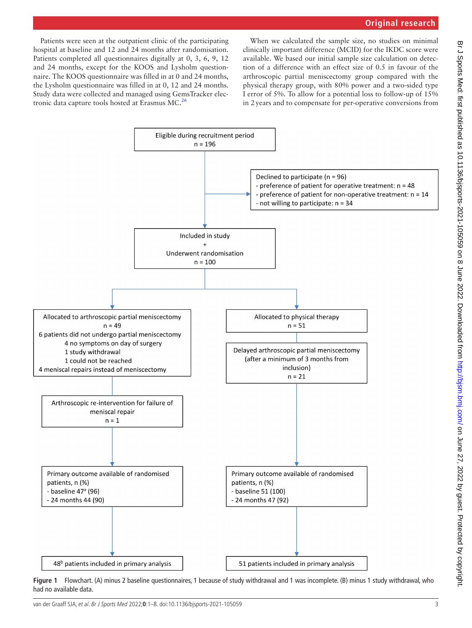Patients were seen at the outpatient clinic of the participating hospital at baseline and 12 and 24 months after randomisation. Patients completed all questionnaires digitally at 0, 3, 6, 9, 12 and 24 months, except for the KOOS and Lysholm questionnaire. The KOOS questionnaire was filled in at 0 and 24 months, the Lysholm questionnaire was filled in at 0, 12 and 24 months. Study data were collected and managed using GemsTracker electronic data capture tools hosted at Erasmus MC. $^{26}$ 

When we calculated the sample size, no studies on minimal clinically important difference (MCID) for the IKDC score were available. We based our initial sample size calculation on detection of a difference with an effect size of 0.5 in favour of the arthroscopic partial meniscectomy group compared with the physical therapy group, with 80% power and a two-sided type I error of 5%. To allow for a potential loss to follow-up of 15% in 2years and to compensate for per-operative conversions from



<span id="page-2-0"></span>**Figure 1** Flowchart. (A) minus 2 baseline questionnaires, 1 because of study withdrawal and 1 was incomplete. (B) minus 1 study withdrawal, who had no available data.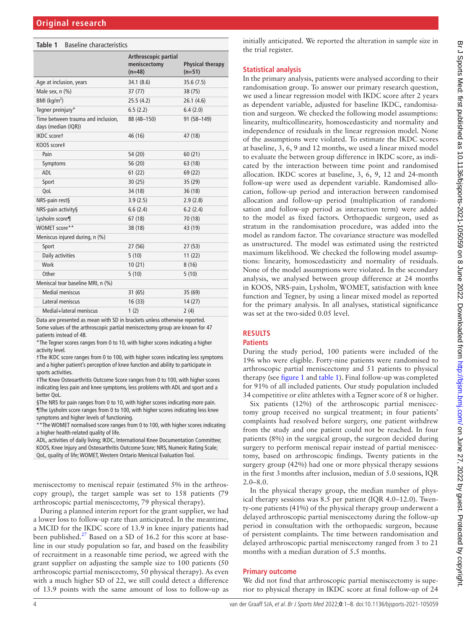#### <span id="page-3-0"></span>**Table 1** Baseline characteristics

|                                                           | Arthroscopic partial<br>meniscectomy<br>$(n=48)$ | <b>Physical therapy</b><br>$(n=51)$ |
|-----------------------------------------------------------|--------------------------------------------------|-------------------------------------|
| Age at inclusion, years                                   | 34.1 (8.6)                                       | 35.6 (7.5)                          |
| Male sex, n (%)                                           | 37(77)                                           | 38 (75)                             |
| BMI ( $\text{kg/m}^2$ )                                   | 25.5(4.2)                                        | 26.1(4.6)                           |
| Tegner preinjury*                                         | 6.5(2.2)                                         | 6.4(2.0)                            |
| Time between trauma and inclusion,<br>days (median (IQR)) | 88 (48-150)                                      | 91 (58-149)                         |
| <b>IKDC</b> scoret                                        | 46 (16)                                          | 47 (18)                             |
| KOOS score‡                                               |                                                  |                                     |
| Pain                                                      | 54 (20)                                          | 60(21)                              |
| Symptoms                                                  | 56 (20)                                          | 63 (18)                             |
| <b>ADL</b>                                                | 61(22)                                           | 69 (22)                             |
| Sport                                                     | 30(25)                                           | 35 (29)                             |
| QoL                                                       | 34 (18)                                          | 36(18)                              |
| NRS-pain rest§                                            | 3.9(2.5)                                         | 2.9(2.8)                            |
| NRS-pain activity§                                        | 6.6(2.4)                                         | 6.2(2.4)                            |
| Lysholm score¶                                            | 67(18)                                           | 70 (18)                             |
| WOMET score**                                             | 38 (18)                                          | 43 (19)                             |
| Meniscus injured during, n (%)                            |                                                  |                                     |
| Sport                                                     | 27 (56)                                          | 27 (53)                             |
| Daily activities                                          | 5(10)                                            | 11(22)                              |
| Work                                                      | 10(21)                                           | 8(16)                               |
| Other                                                     | 5(10)                                            | 5(10)                               |
| Meniscal tear baseline MRI, n (%)                         |                                                  |                                     |
| <b>Medial meniscus</b>                                    | 31(65)                                           | 35 (69)                             |
| Lateral meniscus                                          | 16(33)                                           | 14(27)                              |
| Medial+lateral meniscus                                   | 1(2)                                             | 2(4)                                |
|                                                           |                                                  |                                     |

Data are presented as mean with SD in brackets unless otherwise reported. Some values of the arthroscopic partial meniscectomy group are known for 47 patients instead of 48.

\*The Tegner scores ranges from 0 to 10, with higher scores indicating a higher activity level.

†The IKDC score ranges from 0 to 100, with higher scores indicating less symptoms and a higher patient's perception of knee function and ability to participate in sports activities.

‡The Knee Osteoarthritis Outcome Score ranges from 0 to 100, with higher scores indicating less pain and knee symptoms, less problems with ADL and sport and a better QoL.

§The NRS for pain ranges from 0 to 10, with higher scores indicating more pain. ¶The Lysholm score ranges from 0 to 100, with higher scores indicating less knee symptoms and higher levels of functioning.

\*\*The WOMET normalised score ranges from 0 to 100, with higher scores indicating a higher health-related quality of life.

ADL, activities of daily living; IKDC, International Knee Documentation Committee; KOOS, Knee Injury and Osteoarthritis Outcome Score; NRS, Numeric Rating Scale; QoL, quality of life; WOMET, Western Ontario Meniscal Evaluation Tool.

meniscectomy to meniscal repair (estimated 5% in the arthroscopy group), the target sample was set to 158 patients (79 arthroscopic partial meniscectomy, 79 physical therapy).

During a planned interim report for the grant supplier, we had a lower loss to follow-up rate than anticipated. In the meantime, a MCID for the IKDC score of 13.9 in knee injury patients had been published.<sup>[27](#page-7-7)</sup> Based on a SD of 16.2 for this score at baseline in our study population so far, and based on the feasibility of recruitment in a reasonable time period, we agreed with the grant supplier on adjusting the sample size to 100 patients (50 arthroscopic partial meniscectomy, 50 physical therapy). As even with a much higher SD of 22, we still could detect a difference of 13.9 points with the same amount of loss to follow-up as initially anticipated. We reported the alteration in sample size in the trial register.

### **Statistical analysis**

In the primary analysis, patients were analysed according to their randomisation group. To answer our primary research question, we used a linear regression model with IKDC score after 2 years as dependent variable, adjusted for baseline IKDC, randomisation and surgeon. We checked the following model assumptions: linearity, multicollinearity, homoscedasticity and normality and independence of residuals in the linear regression model. None of the assumptions were violated. To estimate the IKDC scores at baseline, 3, 6, 9 and 12 months, we used a linear mixed model to evaluate the between group difference in IKDC score, as indicated by the interaction between time point and randomised allocation. IKDC scores at baseline, 3, 6, 9, 12 and 24-month follow-up were used as dependent variable. Randomised allocation, follow-up period and interaction between randomised allocation and follow-up period (multiplication of randomisation and follow-up period as interaction term) were added to the model as fixed factors. Orthopaedic surgeon, used as stratum in the randomisation procedure, was added into the model as random factor. The covariance structure was modelled as unstructured. The model was estimated using the restricted maximum likelihood. We checked the following model assumptions: linearity, homoscedasticity and normality of residuals. None of the model assumptions were violated. In the secondary analysis, we analysed between group difference at 24 months in KOOS, NRS-pain, Lysholm, WOMET, satisfaction with knee function and Tegner, by using a linear mixed model as reported for the primary analysis. In all analyses, statistical significance was set at the two-sided 0.05 level.

### **RESULTS**

#### **Patients**

During the study period, 100 patients were included of the 196 who were eligible. Forty-nine patients were randomised to arthroscopic partial meniscectomy and 51 patients to physical therapy (see [figure](#page-2-0) 1 and [table](#page-3-0) 1). Final follow-up was completed for 91% of all included patients. Our study population included 34 competitive or elite athletes with a Tegner score of 8 or higher.

Six patients (12%) of the arthroscopic partial meniscectomy group received no surgical treatment; in four patients' complaints had resolved before surgery, one patient withdrew from the study and one patient could not be reached. In four patients (8%) in the surgical group, the surgeon decided during surgery to perform meniscal repair instead of partial meniscectomy, based on arthroscopic findings. Twenty patients in the surgery group (42%) had one or more physical therapy sessions in the first 3months after inclusion, median of 5.0 sessions, IQR 2.0–8.0.

In the physical therapy group, the median number of physical therapy sessions was 8.5 per patient (IQR 4.0–12.0). Twenty-one patients (41%) of the physical therapy group underwent a delayed arthroscopic partial meniscectomy during the follow-up period in consultation with the orthopaedic surgeon, because of persistent complaints. The time between randomisation and delayed arthroscopic partial meniscectomy ranged from 3 to 21 months with a median duration of 5.5 months.

### **Primary outcome**

We did not find that arthroscopic partial meniscectomy is superior to physical therapy in IKDC score at final follow-up of 24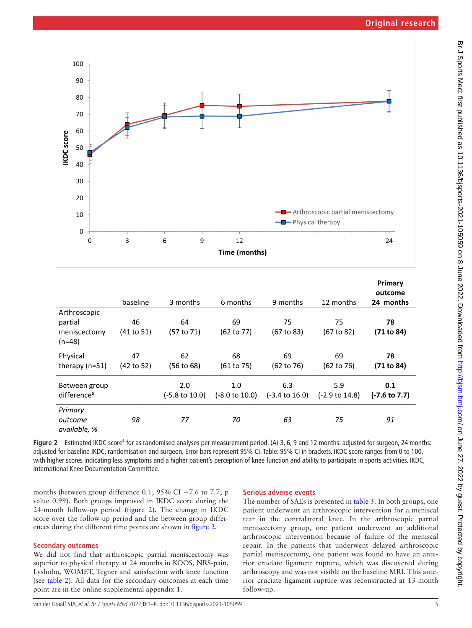

|                                                     | baseline         | 3 months                         | 6 months                         | 9 months                         | 12 months                        | Primary<br>outcome<br>24 months |
|-----------------------------------------------------|------------------|----------------------------------|----------------------------------|----------------------------------|----------------------------------|---------------------------------|
| Arthroscopic<br>partial<br>meniscectomy<br>$(n=48)$ | 46<br>(41 to 51) | 64<br>(57 to 71)                 | 69<br>(62 to 77)                 | 75<br>(67 to 83)                 | 75<br>(67 to 82)                 | 78<br>(71 to 84)                |
| Physical<br>therapy $(n=51)$                        | 47<br>(42 to 52) | 62<br>(56 to 68)                 | 68<br>(61 to 75)                 | 69<br>$(62 \text{ to } 76)$      | 69<br>$(62 \text{ to } 76)$      | 78<br>(71 to 84)                |
| Between group<br>difference <sup>a</sup>            |                  | 2.0<br>$(-5.8 \text{ to } 10.0)$ | 1.0<br>$(-8.0 \text{ to } 10.0)$ | 6.3<br>$(-3.4 \text{ to } 16.0)$ | 5.9<br>$(-2.9 \text{ to } 14.8)$ | 0.1<br>$(-7.6 \text{ to } 7.7)$ |
| Primary<br>outcome<br>available. %                  | 98               | 77                               | 70                               | 63                               | 75                               | 91                              |

<span id="page-4-0"></span>Figure 2 Estimated IKDC score<sup>a</sup> for as randomised analyses per measurement period. (A) 3, 6, 9 and 12 months: adjusted for surgeon, 24 months: adjusted for baseline IKDC, randomisation and surgeon. Error bars represent 95% CI. Table: 95% CI in brackets. IKDC score ranges from 0 to 100, with higher scores indicating less symptoms and a higher patient's perception of knee function and ability to participate in sports activities. IKDC, International Knee Documentation Committee.

months (between group difference 0.1; 95% CI  $-7.6$  to 7.7; p value 0.99). Both groups improved in IKDC score during the 24-month follow-up period [\(figure](#page-4-0) 2). The change in IKDC score over the follow-up period and the between group differences during the different time points are shown in [figure](#page-4-0) 2.

### **Secondary outcomes**

We did not find that arthroscopic partial meniscectomy was superior to physical therapy at 24 months in KOOS, NRS-pain, Lysholm, WOMET, Tegner and satisfaction with knee function (see [table](#page-5-0) 2). All data for the secondary outcomes at each time point are in the [online supplemental appendix 1.](https://dx.doi.org/10.1136/bjsports-2021-105059)

#### **Serious adverse events**

The number of SAEs is presented in [table](#page-5-1) 3. In both groups, one patient underwent an arthroscopic intervention for a meniscal tear in the contralateral knee. In the arthroscopic partial meniscectomy group, one patient underwent an additional arthroscopic intervention because of failure of the meniscal repair. In the patients that underwent delayed arthroscopic partial meniscectomy, one patient was found to have an anterior cruciate ligament rupture, which was discovered during arthroscopy and was not visible on the baseline MRI. This anterior cruciate ligament rupture was reconstructed at 13-month follow-up.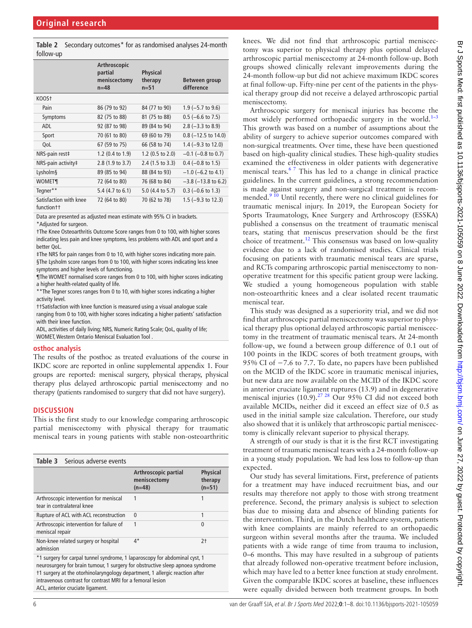<span id="page-5-0"></span>**Table 2** Secondary outcomes\* for as randomised analyses 24-month follow-up

|                                        | Arthroscopic<br>partial<br>meniscectomy<br>$n = 48$ | <b>Physical</b><br>therapy<br>$n = 51$ | Between group<br>difference   |
|----------------------------------------|-----------------------------------------------------|----------------------------------------|-------------------------------|
| KOOS†                                  |                                                     |                                        |                               |
| Pain                                   | 86 (79 to 92)                                       | 84 (77 to 90)                          | $1.9$ (-5.7 to 9.6)           |
| Symptoms                               | 82 (75 to 88)                                       | 81 (75 to 88)                          | $0.5$ (-6.6 to 7.5)           |
| ADL                                    | 92 (87 to 98)                                       | 89 (84 to 94)                          | $2.8$ (-3.3 to 8.9)           |
| Sport                                  | 70 (61 to 80)                                       | 69 (60 to 79)                          | $0.8$ (-12.5 to 14.0)         |
| QoL                                    | 67 (59 to 75)                                       | 66 (58 to 74)                          | 1.4 $(-9.3 \text{ to } 12.0)$ |
| NRS-pain rest‡                         | 1.2 $(0.4 \text{ to } 1.9)$                         | 1.2 $(0.5 \text{ to } 2.0)$            | $-0.1$ ( $-0.8$ to 0.7)       |
| NRS-pain activity‡                     | 2.8 (1.9 to 3.7)                                    | $2.4$ (1.5 to 3.3)                     | $0.4$ (-0.8 to 1.5)           |
| Lysholm§                               | 89 (85 to 94)                                       | 88 (84 to 93)                          | $-1.0$ (-6.2 to 4.1)          |
| <b>WOMET¶</b>                          | 72 (64 to 80)                                       | 76 (68 to 84)                          | $-3.8$ ( $-13.8$ to 6.2)      |
| Tegner**                               | 5.4 $(4.7 \text{ to } 6.1)$                         | $5.0$ (4.4 to 5.7)                     | $0.3$ (-0.6 to 1.3)           |
| Satisfaction with knee<br>function t t | 72 (64 to 80)                                       | 70 (62 to 78)                          | 1.5 ( $-9.3$ to 12.3)         |

Data are presented as adjusted mean estimate with 95% CI in brackets. \*Adjusted for surgeon.

†The Knee Osteoarthritis Outcome Score ranges from 0 to 100, with higher scores indicating less pain and knee symptoms, less problems with ADL and sport and a better QoL.

‡The NRS for pain ranges from 0 to 10, with higher scores indicating more pain. §The Lysholm score ranges from 0 to 100, with higher scores indicating less knee symptoms and higher levels of functioning.

¶The WOMET normalised score ranges from 0 to 100, with higher scores indicating a higher health-related quality of life.

\*\*The Tegner scores ranges from 0 to 10, with higher scores indicating a higher activity level.

††Satisfaction with knee function is measured using a visual analogue scale ranging from 0 to 100, with higher scores indicating a higher patients' satisfaction with their knee function.

ADL, activities of daily living; NRS, Numeric Rating Scale; QoL, quality of life; WOMET, Western Ontario Meniscal Evaluation Tool .

#### **osthoc analysis**

The results of the posthoc as treated evaluations of the course in IKDC score are reported in [online supplemental appendix 1.](https://dx.doi.org/10.1136/bjsports-2021-105059) Four groups are reported: meniscal surgery, physical therapy, physical therapy plus delayed arthroscopic partial meniscectomy and no therapy (patients randomised to surgery that did not have surgery).

### **DISCUSSION**

This is the first study to our knowledge comparing arthroscopic partial meniscectomy with physical therapy for traumatic meniscal tears in young patients with stable non-osteoarthritic

<span id="page-5-1"></span>

|                 | <b>Table 3</b> Serious adverse events                                |                                                  |                                        |
|-----------------|----------------------------------------------------------------------|--------------------------------------------------|----------------------------------------|
|                 |                                                                      | Arthroscopic partial<br>meniscectomy<br>$(n=48)$ | <b>Physical</b><br>therapy<br>$(n=51)$ |
|                 | Arthroscopic intervention for meniscal<br>tear in contralateral knee | 1                                                | 1                                      |
|                 | Rupture of ACL with ACL reconstruction                               | $\mathbf{0}$                                     | 1                                      |
| meniscal repair | Arthroscopic intervention for failure of                             | 1                                                | 0                                      |
| admission       | Non-knee related surgery or hospital                                 | $4^*$                                            | $2+$                                   |
|                 |                                                                      |                                                  |                                        |

\*1 surgery for carpal tunnel syndrome, 1 laparoscopy for abdominal cyst, 1 neurosurgery for brain tumour, 1 surgery for obstructive sleep apnoea syndrome †1 surgery at the otorhinolaryngology department, 1 allergic reaction after intravenous contrast for contrast MRI for a femoral lesion ACL, anterior cruciate ligament.

knees. We did not find that arthroscopic partial meniscectomy was superior to physical therapy plus optional delayed arthroscopic partial meniscectomy at 24-month follow-up. Both groups showed clinically relevant improvements during the 24-month follow-up but did not achieve maximum IKDC scores at final follow-up. Fifty-nine per cent of the patients in the physical therapy group did not receive a delayed arthroscopic partial meniscectomy.

Arthroscopic surgery for meniscal injuries has become the most widely performed orthopaedic surgery in the world.<sup>1-3</sup> This growth was based on a number of assumptions about the ability of surgery to achieve superior outcomes compared with non-surgical treatments. Over time, these have been questioned based on high-quality clinical studies. These high-quality studies examined the effectiveness in older patients with degenerative meniscal tears.[6 7](#page-6-11) This has led to a change in clinical practice guidelines. In the current guidelines, a strong recommendation is made against surgery and non-surgical treatment is recommended.<sup>9 10</sup> Until recently, there were no clinical guidelines for traumatic meniscal injury. In 2019, the European Society for Sports Traumatology, Knee Surgery and Arthroscopy (ESSKA) published a consensus on the treatment of traumatic meniscal tears, stating that meniscus preservation should be the first choice of treatment.<sup>12</sup> This consensus was based on low-quality evidence due to a lack of randomised studies. Clinical trials focusing on patients with traumatic meniscal tears are sparse, and RCTs comparing arthroscopic partial meniscectomy to nonoperative treatment for this specific patient group were lacking. We studied a young homogeneous population with stable non-osteoarthritic knees and a clear isolated recent traumatic meniscal tear.

This study was designed as a superiority trial, and we did not find that arthroscopic partial meniscectomy was superior to physical therapy plus optional delayed arthroscopic partial meniscectomy in the treatment of traumatic meniscal tears. At 24-month follow-up, we found a between group difference of 0.1 out of 100 points in the IKDC scores of both treatment groups, with 95% CI of −7.6 to 7.7. To date, no papers have been published on the MCID of the IKDC score in traumatic meniscal injuries, but new data are now available on the MCID of the IKDC score in anterior cruciate ligament ruptures (13.9) and in degenerative meniscal injuries  $(10.9)$ .<sup>[27 28](#page-7-7)</sup> Our 95% CI did not exceed both available MCIDs, neither did it exceed an effect size of 0.5 as used in the initial sample size calculation. Therefore, our study also showed that it is unlikely that arthroscopic partial meniscectomy is clinically relevant superior to physical therapy.

A strength of our study is that it is the first RCT investigating treatment of traumatic meniscal tears with a 24-month follow-up in a young study population. We had less loss to follow-up than expected.

Our study has several limitations. First, preference of patients for a treatment may have induced recruitment bias, and our results may therefore not apply to those with strong treatment preference. Second, the primary analysis is subject to selection bias due to missing data and absence of blinding patients for the intervention. Third, in the Dutch healthcare system, patients with knee complaints are mainly referred to an orthopaedic surgeon within several months after the trauma. We included patients with a wide range of time from trauma to inclusion, 0–6 months. This may have resulted in a subgroup of patients that already followed non-operative treatment before inclusion, which may have led to a better knee function at study enrolment. Given the comparable IKDC scores at baseline, these influences were equally divided between both treatment groups. In both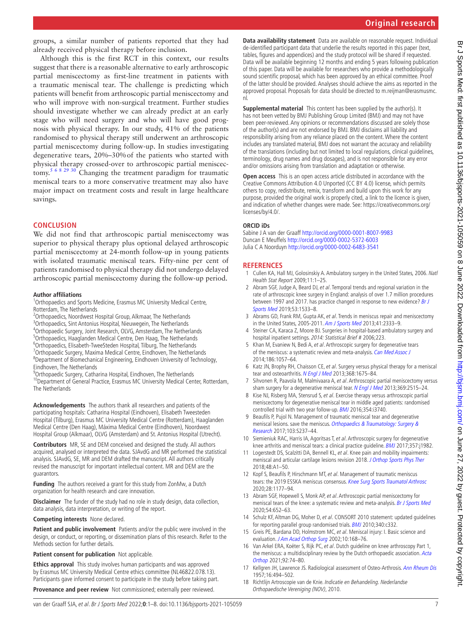groups, a similar number of patients reported that they had already received physical therapy before inclusion.

Although this is the first RCT in this context, our results suggest that there is a reasonable alternative to early arthroscopic partial meniscectomy as first-line treatment in patients with a traumatic meniscal tear. The challenge is predicting which patients will benefit from arthroscopic partial meniscectomy and who will improve with non-surgical treatment. Further studies should investigate whether we can already predict at an early stage who will need surgery and who will have good prognosis with physical therapy. In our study, 41% of the patients randomised to physical therapy still underwent an arthroscopic partial meniscectomy during follow-up. In studies investigating degenerative tears, 20%–30%of the patients who started with physical therapy crossed-over to arthroscopic partial meniscectomy.<sup>5 6 8 29 30</sup> Changing the treatment paradigm for traumatic meniscal tears to a more conservative treatment may also have major impact on treatment costs and result in large healthcare savings.

#### **CONCLUSION**

We did not find that arthroscopic partial meniscectomy was superior to physical therapy plus optional delayed arthroscopic partial meniscectomy at 24-month follow-up in young patients with isolated traumatic meniscal tears. Fifty-nine per cent of patients randomised to physical therapy did not undergo delayed arthroscopic partial meniscectomy during the follow-up period.

#### **Author affiliations**

- <sup>1</sup>Orthopaedics and Sports Medicine, Erasmus MC University Medical Centre, Rotterdam, The Netherlands
- <sup>2</sup>Orthopaedics, Noordwest Hospital Group, Alkmaar, The Netherlands
- <sup>3</sup>Orthopaedics, Sint Antonius Hospital, Nieuwegein, The Netherlands
- 4 Orthopaedic Surgery, Joint Research, OLVG, Amsterdam, The Netherlands
- <sup>5</sup>Orthopaedics, Haaglanden Medical Centre, Den Haag, The Netherlands
- <sup>6</sup> Orthopaedics, Elisabeth-TweeSteden Hospital, Tilburg, The Netherlands<br><sup>7</sup> Orthopaedic Surgery, Maxima Medical Centre, Eindhoven, The Netherl
- <sup>7</sup> Orthopaedic Surgery, Maxima Medical Centre, Eindhoven, The Netherlands 8 Department of Biomechanical Engineering, Eindhoven University of Technology, Eindhoven, The Netherlands

<sup>9</sup>Orthopaedic Surgery, Catharina Hospital, Eindhoven, The Netherlands <sup>10</sup>Department of General Practice, Erasmus MC University Medical Center, Rotterdam, The Netherlands

**Acknowledgements** The authors thank all researchers and patients of the participating hospitals: Catharina Hospital (Eindhoven), Elisabeth Tweesteden Hospital (Tilburg), Erasmus MC University Medical Centre (Rotterdam), Haaglanden Medical Centre (Den Haag), Máxima Medical Centre (Eindhoven), Noordwest Hospital Group (Alkmaar), OLVG (Amsterdam) and St. Antonius Hospital (Utrecht).

**Contributors** MR, SE and DEM conceived and designed the study. All authors acquired, analysed or interpreted the data. SJAvdG and MR performed the statistical analysis. SJAvdG, SE, MR and DEM drafted the manuscript. All authors critically revised the manuscript for important intellectual content. MR and DEM are the guarantors.

**Funding** The authors received a grant for this study from ZonMw, a Dutch organization for health research and care innovation.

**Disclaimer** The funder of the study had no role in study design, data collection, data analysis, data interpretation, or writing of the report.

**Competing interests** None declared.

**Patient and public involvement** Patients and/or the public were involved in the design, or conduct, or reporting, or dissemination plans of this research. Refer to the Methods section for further details.

**Patient consent for publication** Not applicable.

**Ethics approval** This study involves human participants and was approved by Erasmus MC University Medical Centre ethics committee (NL46822.078.13). Participants gave informed consent to participate in the study before taking part.

**Provenance and peer review** Not commissioned; externally peer reviewed.

**Data availability statement** Data are available on reasonable request. Individual de-identified participant data that underlie the results reported in this paper (text, tables, figures and appendices) and the study protocol will be shared if requested. Data will be available beginning 12 months and ending 5 years following publication of this paper. Data will be available for researchers who provide a methodologically sound scientific proposal, which has been approved by an ethical committee. Proof of the latter should be provided. Analyses should achieve the aims as reported in the approved proposal. Proposals for data should be directed to m.reijman@erasmusmc. nl.

**Supplemental material** This content has been supplied by the author(s). It has not been vetted by BMJ Publishing Group Limited (BMJ) and may not have been peer-reviewed. Any opinions or recommendations discussed are solely those of the author(s) and are not endorsed by BMJ. BMJ disclaims all liability and responsibility arising from any reliance placed on the content. Where the content includes any translated material, BMJ does not warrant the accuracy and reliability of the translations (including but not limited to local regulations, clinical guidelines, terminology, drug names and drug dosages), and is not responsible for any error and/or omissions arising from translation and adaptation or otherwise.

**Open access** This is an open access article distributed in accordance with the Creative Commons Attribution 4.0 Unported (CC BY 4.0) license, which permits others to copy, redistribute, remix, transform and build upon this work for any purpose, provided the original work is properly cited, a link to the licence is given, and indication of whether changes were made. See: [https://creativecommons.org/](https://creativecommons.org/licenses/by/4.0/) [licenses/by/4.0/.](https://creativecommons.org/licenses/by/4.0/)

#### **ORCID iDs**

Sabine J A van der Graaff <http://orcid.org/0000-0001-8007-9983> Duncan E Meuffels<http://orcid.org/0000-0002-5372-6003> Julia C A Noorduyn<http://orcid.org/0000-0002-6483-3541>

#### **REFERENCES**

- <span id="page-6-0"></span>1 Cullen KA, Hall MJ, Golosinskiy A. Ambulatory surgery in the United States, 2006. Natl Health Stat Report 2009;11:1–25.
- 2 Abram SGF, Judge A, Beard DJ, et al. Temporal trends and regional variation in the rate of arthroscopic knee surgery in England: analysis of over 1.7 million procedures between 1997 and 2017. has practice changed in response to new evidence? Br J [Sports Med](http://dx.doi.org/10.1136/bjsports-2018-099414) 2019;53:1533–8.
- <span id="page-6-1"></span>3 Abrams GD, Frank RM, Gupta AK, et al. Trends in meniscus repair and meniscectomy in the United States, 2005-2011. [Am J Sports Med](http://dx.doi.org/10.1177/0363546513495641) 2013;41:2333–9.
- 4 Steiner CA, Karaca Z, Moore BJ. Surgeries in hospital-based ambulatory surgery and hospital inpatient settings. 2014: Statistical Brief # 2006;223.
- <span id="page-6-2"></span>5 Khan M, Evaniew N, Bedi A, et al. Arthroscopic surgery for degenerative tears of the meniscus: a systematic review and meta-analysis. [Can Med Assoc J](http://dx.doi.org/10.1503/cmaj.140433) 2014;186:1057–64.
- <span id="page-6-11"></span>6 Katz JN, Brophy RH, Chaisson CE, et al. Surgery versus physical therapy for a meniscal tear and osteoarthritis. [N Engl J Med](http://dx.doi.org/10.1056/NEJMoa1301408) 2013;368:1675-84.
- Sihvonen R, Paavola M, Malmivaara A, et al. Arthroscopic partial meniscectomy versus sham surgery for a degenerative meniscal tear. [N Engl J Med](http://dx.doi.org/10.1056/NEJMoa1305189) 2013;369:2515-24.
- 8 Kise NJ, Risberg MA, Stensrud S, et al. Exercise therapy versus arthroscopic partial meniscectomy for degenerative meniscal tear in middle aged patients: randomised controlled trial with two year follow-up. [BMJ](http://dx.doi.org/10.1136/bmj.i3740) 2016;354:i3740.
- <span id="page-6-3"></span>9 Beaufils P, Pujol N. Management of traumatic meniscal tear and degenerative meniscal lesions. save the meniscus. Orthopaedics & Traumatology: Surgery & [Research](http://dx.doi.org/10.1016/j.otsr.2017.08.003) 2017;103:S237–44.
- 10 Siemieniuk RAC, Harris IA, Agoritsas T, et al. Arthroscopic surgery for degenerative knee arthritis and meniscal tears: a clinical practice guideline. [BMJ](http://dx.doi.org/10.1136/bmj.j1982) 2017;357:j1982.
- <span id="page-6-4"></span>11 Logerstedt DS, Scalzitti DA, Bennell KL, et al. Knee pain and mobility impairments: meniscal and articular cartilage lesions revision 2018. [J Orthop Sports Phys Ther](http://dx.doi.org/10.2519/jospt.2018.0301) 2018;48:A1–50.
- <span id="page-6-5"></span>12 Kopf S, Beaufils P, Hirschmann MT, et al. Management of traumatic meniscus tears: the 2019 ESSKA meniscus consensus. [Knee Surg Sports Traumatol Arthrosc](http://dx.doi.org/10.1007/s00167-020-05847-3) 2020;28:1177–94.
- 13 Abram SGF, Hopewell S, Monk AP, et al. Arthroscopic partial meniscectomy for meniscal tears of the knee: a systematic review and meta-analysis. [Br J Sports Med](http://dx.doi.org/10.1136/bjsports-2018-100223) 2020;54:652–63.
- <span id="page-6-6"></span>14 Schulz KF, Altman DG, Moher D, et al. CONSORT 2010 statement: updated quidelines for reporting parallel group randomised trials. **[BMJ](http://dx.doi.org/10.1136/bmj.c332)** 2010;340:c332.
- <span id="page-6-7"></span>15 Greis PE, Bardana DD, Holmstrom MC, et al. Meniscal injury: I. Basic science and evaluation. [J Am Acad Orthop Surg](http://dx.doi.org/10.5435/00124635-200205000-00003) 2002;10:168-76.
- <span id="page-6-8"></span>16 Van Arkel ERA, Koëter S, Rijk PC, et al. Dutch guideline on knee arthroscopy Part 1, the meniscus: a multidisciplinary review by the Dutch orthopaedic association. Acta [Orthop](http://dx.doi.org/10.1080/17453674.2020.1850086) 2021;92:74–80.
- <span id="page-6-9"></span>17 Kellgren JH, Lawrence JS. Radiological assessment of Osteo-Arthrosis. [Ann Rheum Dis](http://dx.doi.org/10.1136/ard.16.4.494) 1957;16:494–502.
- <span id="page-6-10"></span>Richtlijn Artroscopie van de Knie. Indicatie en Behandeling. Nederlandse Orthopaedische Vereniging (NOV), 2010.